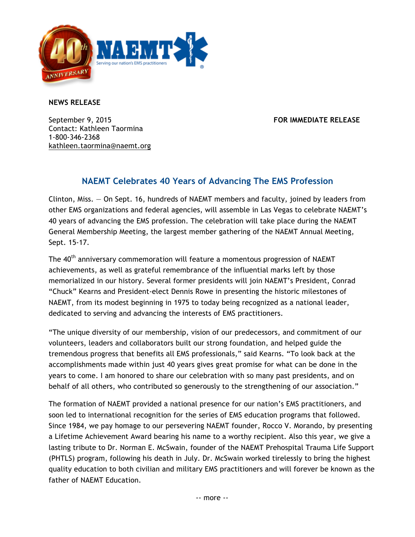

**NEWS RELEASE**

September 9, 2015 **FOR IMMEDIATE RELEASE** Contact: Kathleen Taormina 1-800-346-2368 kathleen.taormina@naemt.org

## **NAEMT Celebrates 40 Years of Advancing The EMS Profession**

Clinton, Miss. — On Sept. 16, hundreds of NAEMT members and faculty, joined by leaders from other EMS organizations and federal agencies, will assemble in Las Vegas to celebrate NAEMT's 40 years of advancing the EMS profession. The celebration will take place during the NAEMT General Membership Meeting, the largest member gathering of the NAEMT Annual Meeting, Sept. 15-17.

The 40<sup>th</sup> anniversary commemoration will feature a momentous progression of NAEMT achievements, as well as grateful remembrance of the influential marks left by those memorialized in our history. Several former presidents will join NAEMT's President, Conrad "Chuck" Kearns and President-elect Dennis Rowe in presenting the historic milestones of NAEMT, from its modest beginning in 1975 to today being recognized as a national leader, dedicated to serving and advancing the interests of EMS practitioners.

"The unique diversity of our membership, vision of our predecessors, and commitment of our volunteers, leaders and collaborators built our strong foundation, and helped guide the tremendous progress that benefits all EMS professionals," said Kearns. "To look back at the accomplishments made within just 40 years gives great promise for what can be done in the years to come. I am honored to share our celebration with so many past presidents, and on behalf of all others, who contributed so generously to the strengthening of our association."

The formation of NAEMT provided a national presence for our nation's EMS practitioners, and soon led to international recognition for the series of EMS education programs that followed. Since 1984, we pay homage to our persevering NAEMT founder, Rocco V. Morando, by presenting a Lifetime Achievement Award bearing his name to a worthy recipient. Also this year, we give a lasting tribute to Dr. Norman E. McSwain, founder of the NAEMT Prehospital Trauma Life Support (PHTLS) program, following his death in July. Dr. McSwain worked tirelessly to bring the highest quality education to both civilian and military EMS practitioners and will forever be known as the father of NAEMT Education.